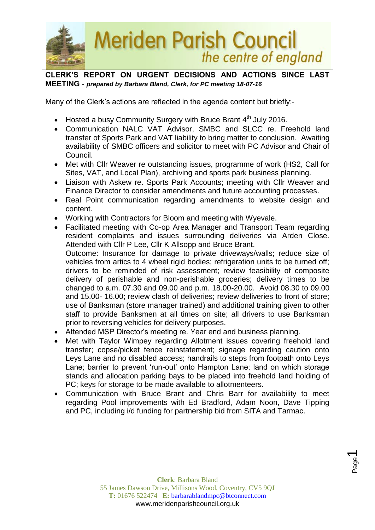

**CLERK'S REPORT ON URGENT DECISIONS AND ACTIONS SINCE LAST MEETING -** *prepared by Barbara Bland, Clerk, for PC meeting 18-07-16*

Many of the Clerk's actions are reflected in the agenda content but briefly:-

- Hosted a busy Community Surgery with Bruce Brant  $4<sup>th</sup>$  July 2016.
- Communication NALC VAT Advisor, SMBC and SLCC re. Freehold land transfer of Sports Park and VAT liability to bring matter to conclusion. Awaiting availability of SMBC officers and solicitor to meet with PC Advisor and Chair of Council.
- Met with Cllr Weaver re outstanding issues, programme of work (HS2, Call for Sites, VAT, and Local Plan), archiving and sports park business planning.
- Liaison with Askew re. Sports Park Accounts; meeting with Cllr Weaver and Finance Director to consider amendments and future accounting processes.
- Real Point communication regarding amendments to website design and content.
- Working with Contractors for Bloom and meeting with Wyevale.
- Facilitated meeting with Co-op Area Manager and Transport Team regarding resident complaints and issues surrounding deliveries via Arden Close. Attended with Cllr P Lee, Cllr K Allsopp and Bruce Brant. Outcome: Insurance for damage to private driveways/walls; reduce size of vehicles from artics to 4 wheel rigid bodies; refrigeration units to be turned off; drivers to be reminded of risk assessment; review feasibility of composite delivery of perishable and non-perishable groceries; delivery times to be changed to a.m. 07.30 and 09.00 and p.m. 18.00-20.00. Avoid 08.30 to 09.00 and 15.00- 16.00; review clash of deliveries; review deliveries to front of store; use of Banksman (store manager trained) and additional training given to other staff to provide Banksmen at all times on site; all drivers to use Banksman prior to reversing vehicles for delivery purposes.
- Attended MSP Director's meeting re. Year end and business planning.
- Met with Taylor Wimpey regarding Allotment issues covering freehold land transfer; copse/picket fence reinstatement; signage regarding caution onto Leys Lane and no disabled access; handrails to steps from footpath onto Leys Lane; barrier to prevent 'run-out' onto Hampton Lane; land on which storage stands and allocation parking bays to be placed into freehold land holding of PC; keys for storage to be made available to allotmenteers.
- Communication with Bruce Brant and Chris Barr for availability to meet regarding Pool improvements with Ed Bradford, Adam Noon, Dave Tipping and PC, including i/d funding for partnership bid from SITA and Tarmac.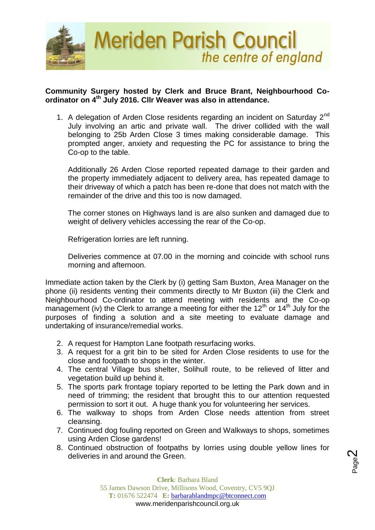

## **Community Surgery hosted by Clerk and Bruce Brant, Neighbourhood Coordinator on 4th July 2016. Cllr Weaver was also in attendance.**

1. A delegation of Arden Close residents regarding an incident on Saturday  $2^{nd}$ July involving an artic and private wall. The driver collided with the wall belonging to 25b Arden Close 3 times making considerable damage. This prompted anger, anxiety and requesting the PC for assistance to bring the Co-op to the table.

Additionally 26 Arden Close reported repeated damage to their garden and the property immediately adjacent to delivery area, has repeated damage to their driveway of which a patch has been re-done that does not match with the remainder of the drive and this too is now damaged.

The corner stones on Highways land is are also sunken and damaged due to weight of delivery vehicles accessing the rear of the Co-op.

Refrigeration lorries are left running.

Deliveries commence at 07.00 in the morning and coincide with school runs morning and afternoon.

Immediate action taken by the Clerk by (i) getting Sam Buxton, Area Manager on the phone (ii) residents venting their comments directly to Mr Buxton (iii) the Clerk and Neighbourhood Co-ordinator to attend meeting with residents and the Co-op management (iv) the Clerk to arrange a meeting for either the  $12<sup>th</sup>$  or  $14<sup>th</sup>$  July for the purposes of finding a solution and a site meeting to evaluate damage and undertaking of insurance/remedial works.

- 2. A request for Hampton Lane footpath resurfacing works.
- 3. A request for a grit bin to be sited for Arden Close residents to use for the close and footpath to shops in the winter.
- 4. The central Village bus shelter, Solihull route, to be relieved of litter and vegetation build up behind it.
- 5. The sports park frontage topiary reported to be letting the Park down and in need of trimming; the resident that brought this to our attention requested permission to sort it out. A huge thank you for volunteering her services.
- 6. The walkway to shops from Arden Close needs attention from street cleansing.
- 7. Continued dog fouling reported on Green and Walkways to shops, sometimes using Arden Close gardens!
- 8. Continued obstruction of footpaths by lorries using double yellow lines for deliveries in and around the Green.